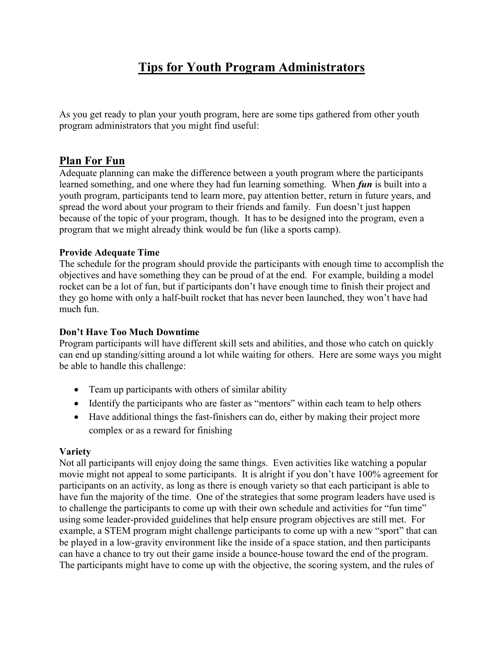# Tips for Youth Program Administrators

As you get ready to plan your youth program, here are some tips gathered from other youth program administrators that you might find useful:

# Plan For Fun

Adequate planning can make the difference between a youth program where the participants learned something, and one where they had fun learning something. When *fun* is built into a youth program, participants tend to learn more, pay attention better, return in future years, and spread the word about your program to their friends and family. Fun doesn't just happen because of the topic of your program, though. It has to be designed into the program, even a program that we might already think would be fun (like a sports camp).

### Provide Adequate Time

The schedule for the program should provide the participants with enough time to accomplish the objectives and have something they can be proud of at the end. For example, building a model rocket can be a lot of fun, but if participants don't have enough time to finish their project and they go home with only a half-built rocket that has never been launched, they won't have had much fun.

# Don't Have Too Much Downtime

Program participants will have different skill sets and abilities, and those who catch on quickly can end up standing/sitting around a lot while waiting for others. Here are some ways you might be able to handle this challenge:

- Team up participants with others of similar ability
- Identify the participants who are faster as "mentors" within each team to help others
- Have additional things the fast-finishers can do, either by making their project more complex or as a reward for finishing

# Variety

Not all participants will enjoy doing the same things. Even activities like watching a popular movie might not appeal to some participants. It is alright if you don't have 100% agreement for participants on an activity, as long as there is enough variety so that each participant is able to have fun the majority of the time. One of the strategies that some program leaders have used is to challenge the participants to come up with their own schedule and activities for "fun time" using some leader-provided guidelines that help ensure program objectives are still met. For example, a STEM program might challenge participants to come up with a new "sport" that can be played in a low-gravity environment like the inside of a space station, and then participants can have a chance to try out their game inside a bounce-house toward the end of the program. The participants might have to come up with the objective, the scoring system, and the rules of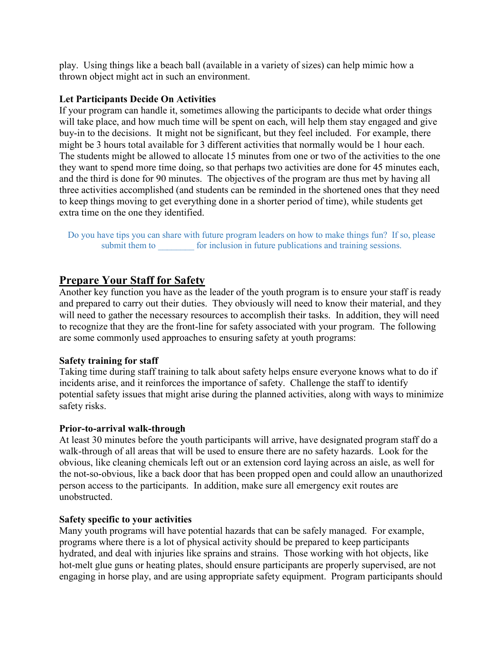play. Using things like a beach ball (available in a variety of sizes) can help mimic how a thrown object might act in such an environment.

#### Let Participants Decide On Activities

If your program can handle it, sometimes allowing the participants to decide what order things will take place, and how much time will be spent on each, will help them stay engaged and give buy-in to the decisions. It might not be significant, but they feel included. For example, there might be 3 hours total available for 3 different activities that normally would be 1 hour each. The students might be allowed to allocate 15 minutes from one or two of the activities to the one they want to spend more time doing, so that perhaps two activities are done for 45 minutes each, and the third is done for 90 minutes. The objectives of the program are thus met by having all three activities accomplished (and students can be reminded in the shortened ones that they need to keep things moving to get everything done in a shorter period of time), while students get extra time on the one they identified.

Do you have tips you can share with future program leaders on how to make things fun? If so, please submit them to \_\_\_\_\_\_\_\_ for inclusion in future publications and training sessions.

# Prepare Your Staff for Safety

Another key function you have as the leader of the youth program is to ensure your staff is ready and prepared to carry out their duties. They obviously will need to know their material, and they will need to gather the necessary resources to accomplish their tasks. In addition, they will need to recognize that they are the front-line for safety associated with your program. The following are some commonly used approaches to ensuring safety at youth programs:

# Safety training for staff

Taking time during staff training to talk about safety helps ensure everyone knows what to do if incidents arise, and it reinforces the importance of safety. Challenge the staff to identify potential safety issues that might arise during the planned activities, along with ways to minimize safety risks.

# Prior-to-arrival walk-through

At least 30 minutes before the youth participants will arrive, have designated program staff do a walk-through of all areas that will be used to ensure there are no safety hazards. Look for the obvious, like cleaning chemicals left out or an extension cord laying across an aisle, as well for the not-so-obvious, like a back door that has been propped open and could allow an unauthorized person access to the participants. In addition, make sure all emergency exit routes are unobstructed.

#### Safety specific to your activities

Many youth programs will have potential hazards that can be safely managed. For example, programs where there is a lot of physical activity should be prepared to keep participants hydrated, and deal with injuries like sprains and strains. Those working with hot objects, like hot-melt glue guns or heating plates, should ensure participants are properly supervised, are not engaging in horse play, and are using appropriate safety equipment. Program participants should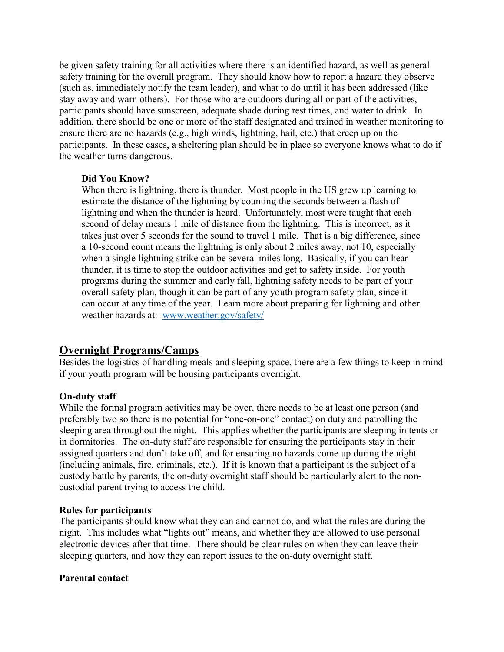be given safety training for all activities where there is an identified hazard, as well as general safety training for the overall program. They should know how to report a hazard they observe (such as, immediately notify the team leader), and what to do until it has been addressed (like stay away and warn others). For those who are outdoors during all or part of the activities, participants should have sunscreen, adequate shade during rest times, and water to drink. In addition, there should be one or more of the staff designated and trained in weather monitoring to ensure there are no hazards (e.g., high winds, lightning, hail, etc.) that creep up on the participants. In these cases, a sheltering plan should be in place so everyone knows what to do if the weather turns dangerous.

### Did You Know?

When there is lightning, there is thunder. Most people in the US grew up learning to estimate the distance of the lightning by counting the seconds between a flash of lightning and when the thunder is heard. Unfortunately, most were taught that each second of delay means 1 mile of distance from the lightning. This is incorrect, as it takes just over 5 seconds for the sound to travel 1 mile. That is a big difference, since a 10-second count means the lightning is only about 2 miles away, not 10, especially when a single lightning strike can be several miles long. Basically, if you can hear thunder, it is time to stop the outdoor activities and get to safety inside. For youth programs during the summer and early fall, lightning safety needs to be part of your overall safety plan, though it can be part of any youth program safety plan, since it can occur at any time of the year. Learn more about preparing for lightning and other weather hazards at: www.weather.gov/safety/

# Overnight Programs/Camps

Besides the logistics of handling meals and sleeping space, there are a few things to keep in mind if your youth program will be housing participants overnight.

# On-duty staff

While the formal program activities may be over, there needs to be at least one person (and preferably two so there is no potential for "one-on-one" contact) on duty and patrolling the sleeping area throughout the night. This applies whether the participants are sleeping in tents or in dormitories. The on-duty staff are responsible for ensuring the participants stay in their assigned quarters and don't take off, and for ensuring no hazards come up during the night (including animals, fire, criminals, etc.). If it is known that a participant is the subject of a custody battle by parents, the on-duty overnight staff should be particularly alert to the noncustodial parent trying to access the child.

#### Rules for participants

The participants should know what they can and cannot do, and what the rules are during the night. This includes what "lights out" means, and whether they are allowed to use personal electronic devices after that time. There should be clear rules on when they can leave their sleeping quarters, and how they can report issues to the on-duty overnight staff.

#### Parental contact